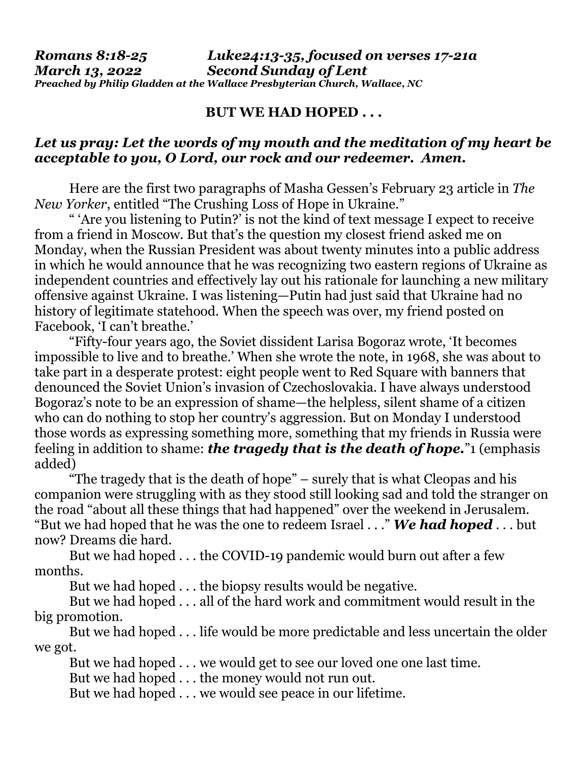## *Romans 8:18-25 Luke24:13-35, focused on verses 17-21a March 13, 2022 Second Sunday of Lent Preached by Philip Gladden at the Wallace Presbyterian Church, Wallace, NC*

## **BUT WE HAD HOPED . . .**

## *Let us pray: Let the words of my mouth and the meditation of my heart be acceptable to you, O Lord, our rock and our redeemer. Amen.*

Here are the first two paragraphs of Masha Gessen's February 23 article in *The New Yorker*, entitled "The Crushing Loss of Hope in Ukraine."

" 'Are you listening to Putin?' is not the kind of text message I expect to receive from a friend in Moscow. But that's the question my closest friend asked me on Monday, when the Russian President was about twenty minutes into a public address in which he would announce that he was recognizing two eastern regions of Ukraine as independent countries and effectively lay out his rationale for launching a new military offensive against Ukraine. I was listening—Putin had just said that Ukraine had no history of legitimate statehood. When the speech was over, my friend posted on Facebook, 'I can't breathe.'

"Fifty-four years ago, the Soviet dissident Larisa Bogoraz wrote, 'It becomes impossible to live and to breathe.' When she wrote the note, in 1968, she was about to take part in a desperate protest: eight people went to Red Square with banners that denounced the Soviet Union's invasion of Czechoslovakia. I have always understood Bogoraz's note to be an expression of shame—the helpless, silent shame of a citizen who can do nothing to stop her country's aggression. But on Monday I understood those words as expressing something more, something that my friends in Russia were feeling in addition to shame: *the tragedy that is the death of hope.*"1 (emphasis added)

 "The tragedy that is the death of hope" – surely that is what Cleopas and his companion were struggling with as they stood still looking sad and told the stranger on the road "about all these things that had happened" over the weekend in Jerusalem. "But we had hoped that he was the one to redeem Israel . . ." *We had hoped* . . . but now? Dreams die hard.

 But we had hoped . . . the COVID-19 pandemic would burn out after a few months.

But we had hoped . . . the biopsy results would be negative.

 But we had hoped . . . all of the hard work and commitment would result in the big promotion.

 But we had hoped . . . life would be more predictable and less uncertain the older we got.

But we had hoped . . . we would get to see our loved one one last time.

But we had hoped . . . the money would not run out.

But we had hoped . . . we would see peace in our lifetime.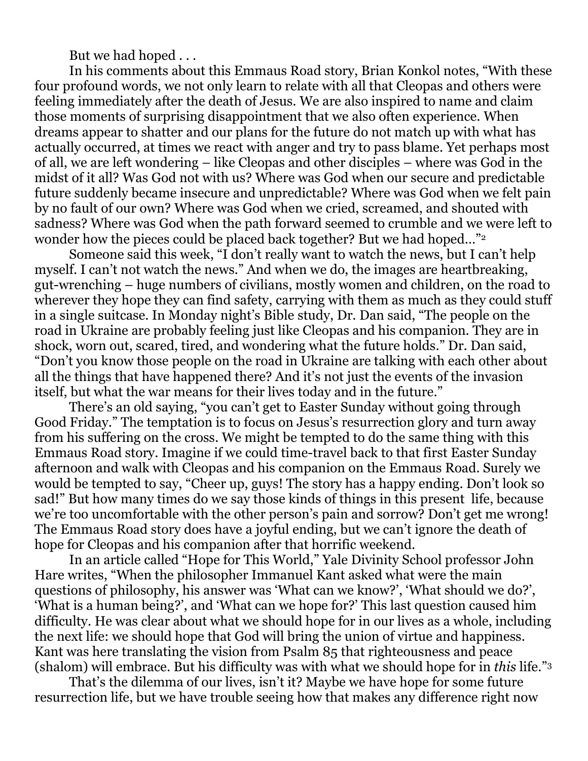But we had hoped . . .

 In his comments about this Emmaus Road story, Brian Konkol notes, "With these four profound words, we not only learn to relate with all that Cleopas and others were feeling immediately after the death of Jesus. We are also inspired to name and claim those moments of surprising disappointment that we also often experience. When dreams appear to shatter and our plans for the future do not match up with what has actually occurred, at times we react with anger and try to pass blame. Yet perhaps most of all, we are left wondering – like Cleopas and other disciples – where was God in the midst of it all? Was God not with us? Where was God when our secure and predictable future suddenly became insecure and unpredictable? Where was God when we felt pain by no fault of our own? Where was God when we cried, screamed, and shouted with sadness? Where was God when the path forward seemed to crumble and we were left to wonder how the pieces could be placed back together? But we had hoped..."<sup>2</sup>

 Someone said this week, "I don't really want to watch the news, but I can't help myself. I can't not watch the news." And when we do, the images are heartbreaking, gut-wrenching – huge numbers of civilians, mostly women and children, on the road to wherever they hope they can find safety, carrying with them as much as they could stuff in a single suitcase. In Monday night's Bible study, Dr. Dan said, "The people on the road in Ukraine are probably feeling just like Cleopas and his companion. They are in shock, worn out, scared, tired, and wondering what the future holds." Dr. Dan said, "Don't you know those people on the road in Ukraine are talking with each other about all the things that have happened there? And it's not just the events of the invasion itself, but what the war means for their lives today and in the future."

 There's an old saying, "you can't get to Easter Sunday without going through Good Friday." The temptation is to focus on Jesus's resurrection glory and turn away from his suffering on the cross. We might be tempted to do the same thing with this Emmaus Road story. Imagine if we could time-travel back to that first Easter Sunday afternoon and walk with Cleopas and his companion on the Emmaus Road. Surely we would be tempted to say, "Cheer up, guys! The story has a happy ending. Don't look so sad!" But how many times do we say those kinds of things in this present life, because we're too uncomfortable with the other person's pain and sorrow? Don't get me wrong! The Emmaus Road story does have a joyful ending, but we can't ignore the death of hope for Cleopas and his companion after that horrific weekend.

 In an article called "Hope for This World," Yale Divinity School professor John Hare writes, "When the philosopher Immanuel Kant asked what were the main questions of philosophy, his answer was 'What can we know?', 'What should we do?', 'What is a human being?', and 'What can we hope for?' This last question caused him difficulty. He was clear about what we should hope for in our lives as a whole, including the next life: we should hope that God will bring the union of virtue and happiness. Kant was here translating the vision from Psalm 85 that righteousness and peace (shalom) will embrace. But his difficulty was with what we should hope for in *this* life."<sup>3</sup>

 That's the dilemma of our lives, isn't it? Maybe we have hope for some future resurrection life, but we have trouble seeing how that makes any difference right now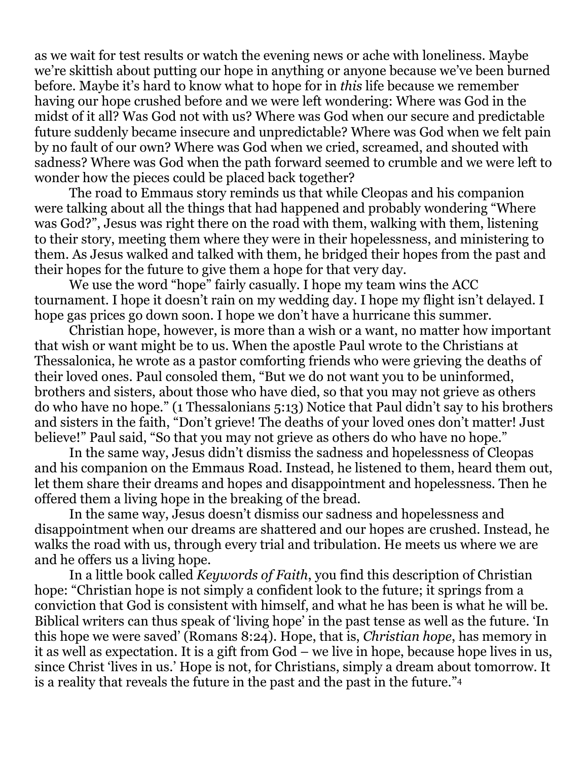as we wait for test results or watch the evening news or ache with loneliness. Maybe we're skittish about putting our hope in anything or anyone because we've been burned before. Maybe it's hard to know what to hope for in *this* life because we remember having our hope crushed before and we were left wondering: Where was God in the midst of it all? Was God not with us? Where was God when our secure and predictable future suddenly became insecure and unpredictable? Where was God when we felt pain by no fault of our own? Where was God when we cried, screamed, and shouted with sadness? Where was God when the path forward seemed to crumble and we were left to wonder how the pieces could be placed back together?

 The road to Emmaus story reminds us that while Cleopas and his companion were talking about all the things that had happened and probably wondering "Where was God?", Jesus was right there on the road with them, walking with them, listening to their story, meeting them where they were in their hopelessness, and ministering to them. As Jesus walked and talked with them, he bridged their hopes from the past and their hopes for the future to give them a hope for that very day.

 We use the word "hope" fairly casually. I hope my team wins the ACC tournament. I hope it doesn't rain on my wedding day. I hope my flight isn't delayed. I hope gas prices go down soon. I hope we don't have a hurricane this summer.

 Christian hope, however, is more than a wish or a want, no matter how important that wish or want might be to us. When the apostle Paul wrote to the Christians at Thessalonica, he wrote as a pastor comforting friends who were grieving the deaths of their loved ones. Paul consoled them, "But we do not want you to be uninformed, brothers and sisters, about those who have died, so that you may not grieve as others do who have no hope." (1 Thessalonians 5:13) Notice that Paul didn't say to his brothers and sisters in the faith, "Don't grieve! The deaths of your loved ones don't matter! Just believe!" Paul said, "So that you may not grieve as others do who have no hope."

 In the same way, Jesus didn't dismiss the sadness and hopelessness of Cleopas and his companion on the Emmaus Road. Instead, he listened to them, heard them out, let them share their dreams and hopes and disappointment and hopelessness. Then he offered them a living hope in the breaking of the bread.

 In the same way, Jesus doesn't dismiss our sadness and hopelessness and disappointment when our dreams are shattered and our hopes are crushed. Instead, he walks the road with us, through every trial and tribulation. He meets us where we are and he offers us a living hope.

 In a little book called *Keywords of Faith*, you find this description of Christian hope: "Christian hope is not simply a confident look to the future; it springs from a conviction that God is consistent with himself, and what he has been is what he will be. Biblical writers can thus speak of 'living hope' in the past tense as well as the future. 'In this hope we were saved' (Romans 8:24). Hope, that is, *Christian hope*, has memory in it as well as expectation. It is a gift from God – we live in hope, because hope lives in us, since Christ 'lives in us.' Hope is not, for Christians, simply a dream about tomorrow. It is a reality that reveals the future in the past and the past in the future."4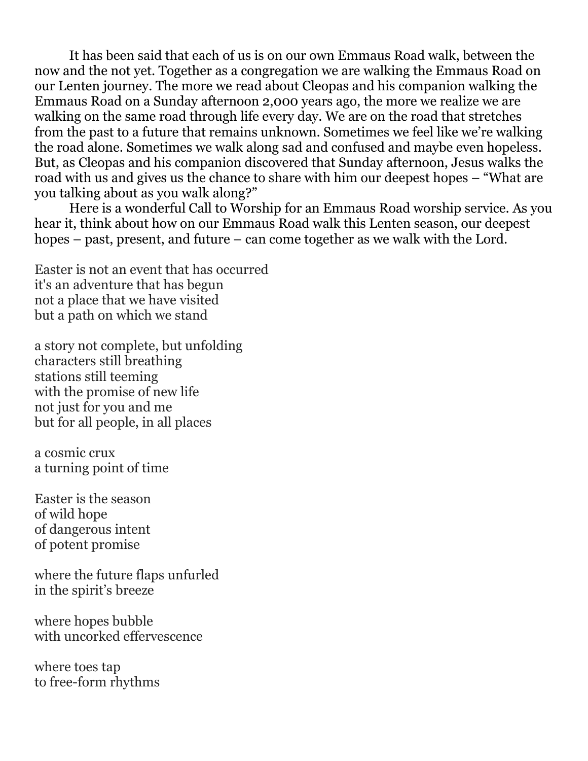It has been said that each of us is on our own Emmaus Road walk, between the now and the not yet. Together as a congregation we are walking the Emmaus Road on our Lenten journey. The more we read about Cleopas and his companion walking the Emmaus Road on a Sunday afternoon 2,000 years ago, the more we realize we are walking on the same road through life every day. We are on the road that stretches from the past to a future that remains unknown. Sometimes we feel like we're walking the road alone. Sometimes we walk along sad and confused and maybe even hopeless. But, as Cleopas and his companion discovered that Sunday afternoon, Jesus walks the road with us and gives us the chance to share with him our deepest hopes – "What are you talking about as you walk along?"

 Here is a wonderful Call to Worship for an Emmaus Road worship service. As you hear it, think about how on our Emmaus Road walk this Lenten season, our deepest hopes – past, present, and future – can come together as we walk with the Lord.

Easter is not an event that has occurred it's an adventure that has begun not a place that we have visited but a path on which we stand

a story not complete, but unfolding characters still breathing stations still teeming with the promise of new life not just for you and me but for all people, in all places

a cosmic crux a turning point of time

Easter is the season of wild hope of dangerous intent of potent promise

where the future flaps unfurled in the spirit's breeze

where hopes bubble with uncorked effervescence

where toes tap to free-form rhythms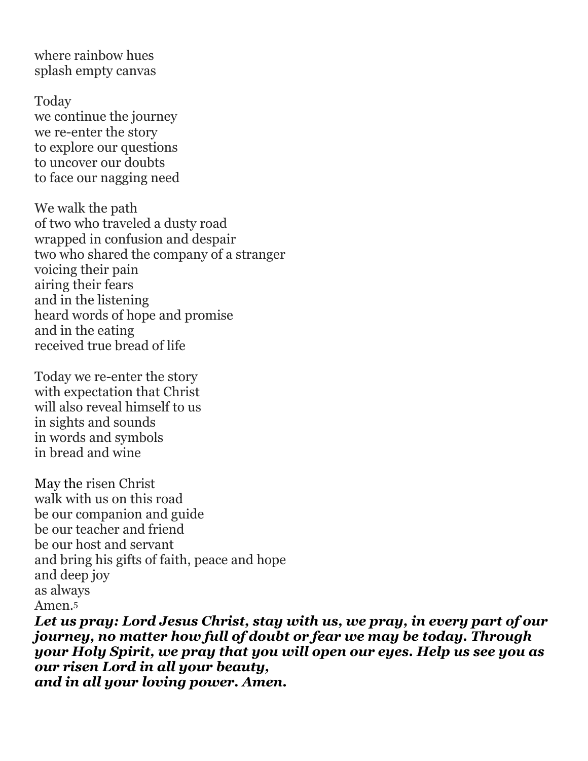where rainbow hues splash empty canvas

Today we continue the journey we re-enter the story to explore our questions to uncover our doubts to face our nagging need

We walk the path of two who traveled a dusty road wrapped in confusion and despair two who shared the company of a stranger voicing their pain airing their fears and in the listening heard words of hope and promise and in the eating received true bread of life

Today we re-enter the story with expectation that Christ will also reveal himself to us in sights and sounds in words and symbols in bread and wine

May the risen Christ walk with us on this road be our companion and guide be our teacher and friend be our host and servant and bring his gifts of faith, peace and hope and deep joy as always Amen.<sup>5</sup>

*Let us pray: Lord Jesus Christ, stay with us, we pray, in every part of our journey, no matter how full of doubt or fear we may be today. Through your Holy Spirit, we pray that you will open our eyes. Help us see you as our risen Lord in all your beauty, and in all your loving power. Amen.*